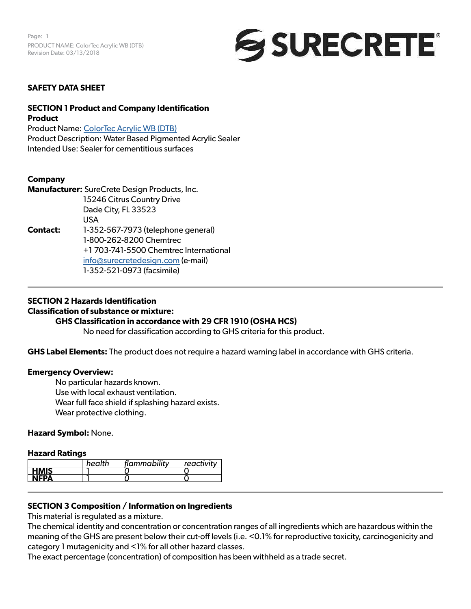

## **SAFETY DATA SHEET**

## **SECTION 1 Product and Company Identification Product**

Product Name: [ColorTec Acrylic WB \(DTB\)](https://www.surecretedesign.com/product/wb-outdoor-concrete-paint/) Product Description: Water Based Pigmented Acrylic Sealer Intended Use: Sealer for cementitious surfaces

## **Company**

**Manufacturer:** SureCrete Design Products, Inc. 15246 Citrus Country Drive Dade City, FL 33523 USA **Contact:** 1-352-567-7973 (telephone general) 1-800-262-8200 Chemtrec +1 703-741-5500 Chemtrec International [info@surecretedesign.com](mailto:info%40surecretedesign.com?subject=ColorTec%20Acrylic%20WB%20%28DTB%29%20-%20SDS%20Inquiry) (e-mail) 1-352-521-0973 (facsimile)

## **SECTION 2 Hazards Identification**

## **Classification of substance or mixture:**

## **GHS Classification in accordance with 29 CFR 1910 (OSHA HCS)**

No need for classification according to GHS criteria for this product.

**GHS Label Elements:** The product does not require a hazard warning label in accordance with GHS criteria.

## **Emergency Overview:**

No particular hazards known. Use with local exhaust ventilation. Wear full face shield if splashing hazard exists. Wear protective clothing.

## **Hazard Symbol:** None.

### **Hazard Ratings**

|             | health | flammability | reactivity |
|-------------|--------|--------------|------------|
| <b>HMIS</b> |        |              |            |
| <b>NFPA</b> |        |              |            |
|             |        |              |            |

## **SECTION 3 Composition / Information on Ingredients**

This material is regulated as a mixture.

The chemical identity and concentration or concentration ranges of all ingredients which are hazardous within the meaning of the GHS are present below their cut-off levels (i.e. <0.1% for reproductive toxicity, carcinogenicity and category 1 mutagenicity and <1% for all other hazard classes.

The exact percentage (concentration) of composition has been withheld as a trade secret.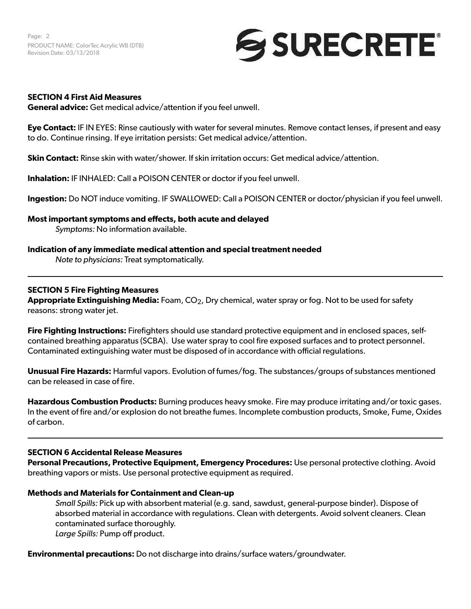Page: 2 PRODUCT NAME: ColorTec Acrylic WB (DTB) Revision Date: 03/13/2018



### **SECTION 4 First Aid Measures**

**General advice:** Get medical advice/attention if you feel unwell.

**Eye Contact:** IF IN EYES: Rinse cautiously with water for several minutes. Remove contact lenses, if present and easy to do. Continue rinsing. If eye irritation persists: Get medical advice/attention.

**Skin Contact:** Rinse skin with water/shower. If skin irritation occurs: Get medical advice/attention.

**Inhalation:** IF INHALED: Call a POISON CENTER or doctor if you feel unwell.

**Ingestion:** Do NOT induce vomiting. IF SWALLOWED: Call a POISON CENTER or doctor/physician if you feel unwell.

**Most important symptoms and effects, both acute and delayed**

*Symptoms:* No information available.

**Indication of any immediate medical attention and special treatment needed**

*Note to physicians:* Treat symptomatically.

### **SECTION 5 Fire Fighting Measures**

**Appropriate Extinguishing Media:** Foam, CO<sub>2</sub>, Dry chemical, water spray or fog. Not to be used for safety reasons: strong water jet.

**Fire Fighting Instructions:** Firefighters should use standard protective equipment and in enclosed spaces, selfcontained breathing apparatus (SCBA). Use water spray to cool fire exposed surfaces and to protect personnel. Contaminated extinguishing water must be disposed of in accordance with official regulations.

**Unusual Fire Hazards:** Harmful vapors. Evolution of fumes/fog. The substances/groups of substances mentioned can be released in case of fire.

**Hazardous Combustion Products:** Burning produces heavy smoke. Fire may produce irritating and/or toxic gases. In the event of fire and/or explosion do not breathe fumes. Incomplete combustion products, Smoke, Fume, Oxides of carbon.

### **SECTION 6 Accidental Release Measures**

**Personal Precautions, Protective Equipment, Emergency Procedures:** Use personal protective clothing. Avoid breathing vapors or mists. Use personal protective equipment as required.

## **Methods and Materials for Containment and Clean-up**

*Small Spills:* Pick up with absorbent material (e.g. sand, sawdust, general-purpose binder). Dispose of absorbed material in accordance with regulations. Clean with detergents. Avoid solvent cleaners. Clean contaminated surface thoroughly. *Large Spills:* Pump off product.

**Environmental precautions:** Do not discharge into drains/surface waters/groundwater.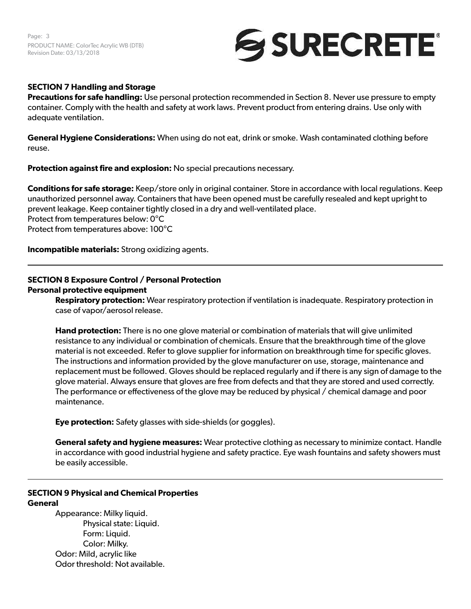

# **SECTION 7 Handling and Storage**

**Precautions for safe handling:** Use personal protection recommended in Section 8. Never use pressure to empty container. Comply with the health and safety at work laws. Prevent product from entering drains. Use only with adequate ventilation.

**General Hygiene Considerations:** When using do not eat, drink or smoke. Wash contaminated clothing before reuse.

**Protection against fire and explosion:** No special precautions necessary.

**Conditions for safe storage:** Keep/store only in original container. Store in accordance with local regulations. Keep unauthorized personnel away. Containers that have been opened must be carefully resealed and kept upright to prevent leakage. Keep container tightly closed in a dry and well-ventilated place. Protect from temperatures below: 0°C Protect from temperatures above: 100°C

**Incompatible materials:** Strong oxidizing agents.

# **SECTION 8 Exposure Control / Personal Protection Personal protective equipment**

**Respiratory protection:** Wear respiratory protection if ventilation is inadequate. Respiratory protection in case of vapor/aerosol release.

**Hand protection:** There is no one glove material or combination of materials that will give unlimited resistance to any individual or combination of chemicals. Ensure that the breakthrough time of the glove material is not exceeded. Refer to glove supplier for information on breakthrough time for specific gloves. The instructions and information provided by the glove manufacturer on use, storage, maintenance and replacement must be followed. Gloves should be replaced regularly and if there is any sign of damage to the glove material. Always ensure that gloves are free from defects and that they are stored and used correctly. The performance or effectiveness of the glove may be reduced by physical / chemical damage and poor maintenance.

**Eye protection:** Safety glasses with side-shields (or goggles).

**General safety and hygiene measures:** Wear protective clothing as necessary to minimize contact. Handle in accordance with good industrial hygiene and safety practice. Eye wash fountains and safety showers must be easily accessible.

## **SECTION 9 Physical and Chemical Properties General**

Appearance: Milky liquid. Physical state: Liquid. Form: Liquid. Color: Milky. Odor: Mild, acrylic like Odor threshold: Not available.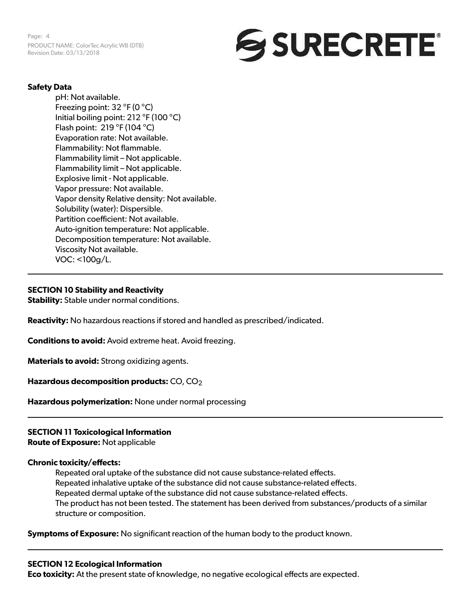Page: 4 PRODUCT NAME: ColorTec Acrylic WB (DTB) Revision Date: 03/13/2018



### **Safety Data**

pH: Not available. Freezing point: 32 °F (0 °C) Initial boiling point: 212 °F (100 °C) Flash point: 219 °F (104 °C) Evaporation rate: Not available. Flammability: Not flammable. Flammability limit – Not applicable. Flammability limit – Not applicable. Explosive limit - Not applicable. Vapor pressure: Not available. Vapor density Relative density: Not available. Solubility (water): Dispersible. Partition coefficient: Not available. Auto-ignition temperature: Not applicable. Decomposition temperature: Not available. Viscosity Not available. VOC: <100g/L.

### **SECTION 10 Stability and Reactivity**

**Stability:** Stable under normal conditions.

**Reactivity:** No hazardous reactions if stored and handled as prescribed/indicated.

**Conditions to avoid:** Avoid extreme heat. Avoid freezing.

**Materials to avoid:** Strong oxidizing agents.

**Hazardous decomposition products:** CO, CO<sub>2</sub>

**Hazardous polymerization:** None under normal processing

### **SECTION 11 Toxicological Information**

**Route of Exposure:** Not applicable

### **Chronic toxicity/effects:**

Repeated oral uptake of the substance did not cause substance-related effects. Repeated inhalative uptake of the substance did not cause substance-related effects. Repeated dermal uptake of the substance did not cause substance-related effects. The product has not been tested. The statement has been derived from substances/products of a similar structure or composition.

**Symptoms of Exposure:** No significant reaction of the human body to the product known.

#### **SECTION 12 Ecological Information**

**Eco toxicity:** At the present state of knowledge, no negative ecological effects are expected.